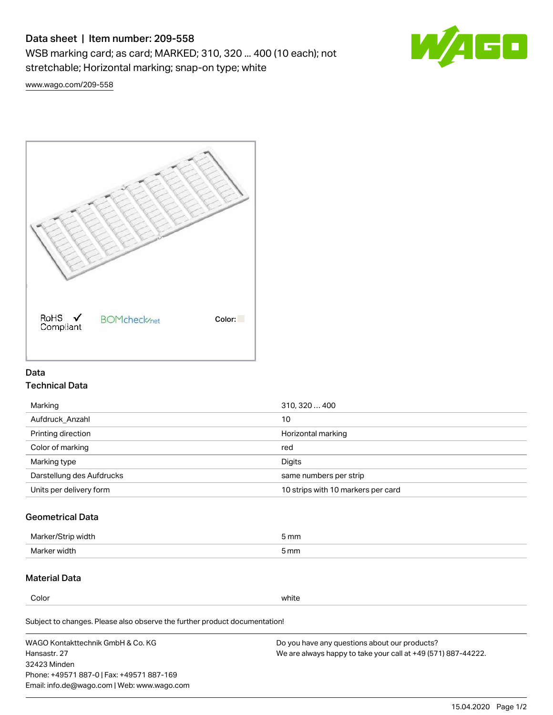# Data sheet | Item number: 209-558

WSB marking card; as card; MARKED; 310, 320 ... 400 (10 each); not stretchable; Horizontal marking; snap-on type; white



[www.wago.com/209-558](http://www.wago.com/209-558)



### Data Technical Data

| Marking                   | 310, 320  400                      |
|---------------------------|------------------------------------|
| Aufdruck Anzahl           | 10                                 |
| Printing direction        | Horizontal marking                 |
| Color of marking          | red                                |
| Marking type              | Digits                             |
| Darstellung des Aufdrucks | same numbers per strip             |
| Units per delivery form   | 10 strips with 10 markers per card |

## Geometrical Data

| طلقاء ئ<br><b>Marker</b><br>widtr | ັກmm |
|-----------------------------------|------|
| Marker width                      | 5 mm |

### Material Data

Color white

Subject to changes. Please also observe the further product documentation!

WAGO Kontakttechnik GmbH & Co. KG Hansastr. 27 32423 Minden Phone: +49571 887-0 | Fax: +49571 887-169 Email: info.de@wago.com | Web: www.wago.com Do you have any questions about our products? We are always happy to take your call at +49 (571) 887-44222.